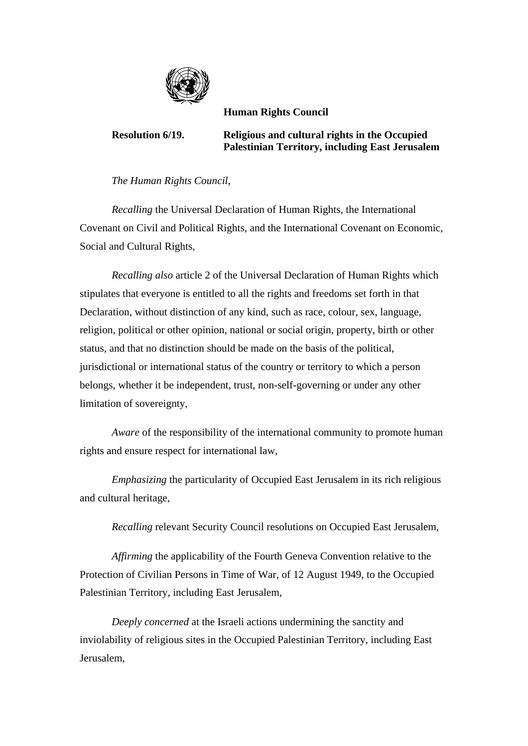

 **Human Rights Council** 

**Resolution 6/19. Religious and cultural rights in the Occupied Palestinian Territory, including East Jerusalem** 

 *The Human Rights Council*,

 *Recalling* the Universal Declaration of Human Rights, the International Covenant on Civil and Political Rights, and the International Covenant on Economic, Social and Cultural Rights,

 *Recalling also* article 2 of the Universal Declaration of Human Rights which stipulates that everyone is entitled to all the rights and freedoms set forth in that Declaration, without distinction of any kind, such as race, colour, sex, language, religion, political or other opinion, national or social origin, property, birth or other status, and that no distinction should be made on the basis of the political, jurisdictional or international status of the country or territory to which a person belongs, whether it be independent, trust, non-self-governing or under any other limitation of sovereignty,

 *Aware* of the responsibility of the international community to promote human rights and ensure respect for international law,

*Emphasizing* the particularity of Occupied East Jerusalem in its rich religious and cultural heritage,

 *Recalling* relevant Security Council resolutions on Occupied East Jerusalem,

 *Affirming* the applicability of the Fourth Geneva Convention relative to the Protection of Civilian Persons in Time of War, of 12 August 1949, to the Occupied Palestinian Territory, including East Jerusalem,

 *Deeply concerned* at the Israeli actions undermining the sanctity and inviolability of religious sites in the Occupied Palestinian Territory, including East Jerusalem,